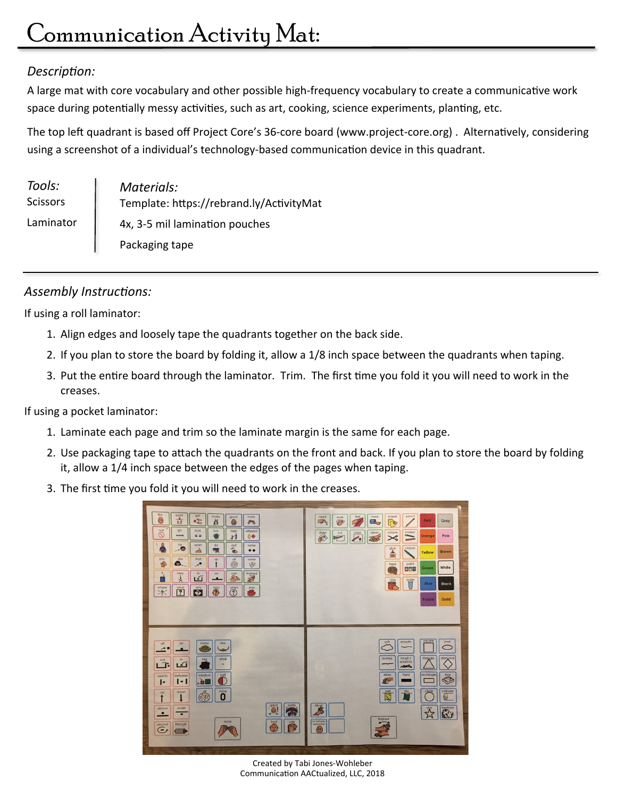## *Description:*

A large mat with core vocabulary and other possible high-frequency vocabulary to create a communicative work space during potentially messy activities, such as art, cooking, science experiments, planting, etc.

The top left quadrant is based off Project Core's 36-core board (www.project-core.org) . Alternatively, considering using a screenshot of a individual's technology-based communication device in this quadrant.

| Tools:<br><b>Scissors</b> | Materials:<br>Template: https://rebrand.ly/ActivityMat |
|---------------------------|--------------------------------------------------------|
| Laminator                 | 4x, 3-5 mil lamination pouches                         |
|                           | Packaging tape                                         |

## *Assembly Instructions:*

If using a roll laminator:

- 1. Align edges and loosely tape the quadrants together on the back side.
- 2. If you plan to store the board by folding it, allow a 1/8 inch space between the quadrants when taping.
- 3. Put the entire board through the laminator. Trim. The first time you fold it you will need to work in the creases.

If using a pocket laminator:

- 1. Laminate each page and trim so the laminate margin is the same for each page.
- 2. Use packaging tape to attach the quadrants on the front and back. If you plan to store the board by folding it, allow a 1/4 inch space between the edges of the pages when taping.
- 3. The first time you fold it you will need to work in the creases.

| like<br>want<br>get<br>make<br>good<br>more<br>$\circ$<br>$\frac{1}{4d}$<br>100<br>K<br>P<br>G<br>not<br>QO<br>look<br>turn<br>different<br>help<br>$\circ$<br>$\widehat{\bullet}$<br>C<br>$0 \blacklozenge$<br>n<br>$\circ$<br>he<br>open<br>do<br>put<br>same<br>$\bullet$<br>$\frac{1}{\sqrt{2}}$<br>⊵.<br>$\rightarrow$<br>یچ<br>$\bullet\bullet$<br>you<br>she<br>that<br><b>Up</b><br><b>dll</b><br>some<br>€<br>G.<br>$\odot$<br>$\mathcal{A}^{\mathbf{B}}$<br>$\mathcal{D}$<br>$\mathbf{r}$<br><b>It</b><br>here<br>in.<br>finished<br>on<br>can<br>$R_{\mathcal{R}}$<br>$\overline{5}$<br>₹<br>$-2$<br>where<br>what<br>why<br>$\ddot{\odot}$<br>stop<br>when<br>$\overline{C}$<br>$\overline{?}$<br>◈<br>m.<br>$\cancel{\times}$ | pencil<br>paper<br>feel<br>mess<br>need<br>work<br>Red<br>G<br>Gray<br>$\sqrt{2}$<br>$\overline{\epsilon}$<br>$\mathbb{Z}$<br>marker<br>clean<br>scissors<br>chair<br>cut<br>color<br>$\qquad \qquad$<br>Pink<br>Orange<br>$\rightarrow$<br>TOUT<br>≍<br>$\triangleright$<br><b>COMPANY</b><br>crayon<br>glue<br>Â<br><b>Brown</b><br>Yellow<br>paint<br>tape<br>White<br>CCC<br>Green<br>Q<br>clay<br>$\begin{picture}(40,40) \put(0,0){\line(1,0){15}} \put(15,0){\line(1,0){15}} \put(15,0){\line(1,0){15}} \put(15,0){\line(1,0){15}} \put(15,0){\line(1,0){15}} \put(15,0){\line(1,0){15}} \put(15,0){\line(1,0){15}} \put(15,0){\line(1,0){15}} \put(15,0){\line(1,0){15}} \put(15,0){\line(1,0){15}} \put(15,0){\line(1,0){15}} \put(15,0){\line(1$<br>€<br><b>Blue</b><br><b>Black</b><br>Gold<br>Purple |
|--------------------------------------------------------------------------------------------------------------------------------------------------------------------------------------------------------------------------------------------------------------------------------------------------------------------------------------------------------------------------------------------------------------------------------------------------------------------------------------------------------------------------------------------------------------------------------------------------------------------------------------------------------------------------------------------------------------------------------------------|------------------------------------------------------------------------------------------------------------------------------------------------------------------------------------------------------------------------------------------------------------------------------------------------------------------------------------------------------------------------------------------------------------------------------------------------------------------------------------------------------------------------------------------------------------------------------------------------------------------------------------------------------------------------------------------------------------------------------------------------------------------------------------------------------------------|
| few<br>many<br>off<br>on<br>€<br>≁<br>afta<br>$\bullet$<br>small<br>in<br>big<br>out<br>$\mathbf{R}$<br>$\sqrt{1}$<br>٠<br>half<br>medium<br>between<br>next to<br>l à l<br>г<br>ю<br>Ŀ<br>ol<br>none<br>down<br><b>Up</b><br>$\bigodot$<br>0<br>↑<br>great<br>pretty<br>under<br>above<br>$\cdot$ .<br>G.<br>$\bullet$<br>$\bullet$<br>more<br>bad<br>ugly<br>through<br>around<br>P<br>$\frac{Z_{\rm{B}}}{R}$<br>ت)<br>ø                                                                                                                                                                                                                                                                                                                 | sauare<br>smooth<br>soft<br>oval<br>rough /<br>triangle<br>diamond<br>bumpy<br>scratchy<br>www<br><b>AROOKA</b><br>rectangle<br>sticky<br>hard<br>box<br>♦<br>Q.<br>cylinder<br>wet<br>dry<br>circle<br>$\mathbb{E}$<br>$\mathbb{Q}$<br>Nicel<br>treatorm<br>$\frac{1}{2}$<br>yz,<br>finished<br>I'm not sure<br>T<br>about that<br>$\mathbb{C}$                                                                                                                                                                                                                                                                                                                                                                                                                                                                 |

Created by Tabi Jones-Wohleber Communication AACtualized, LLC, 2018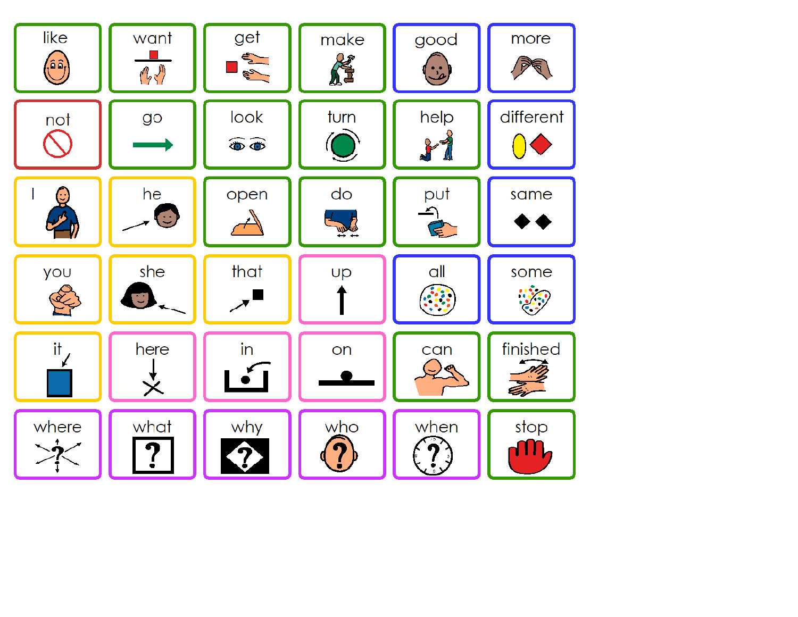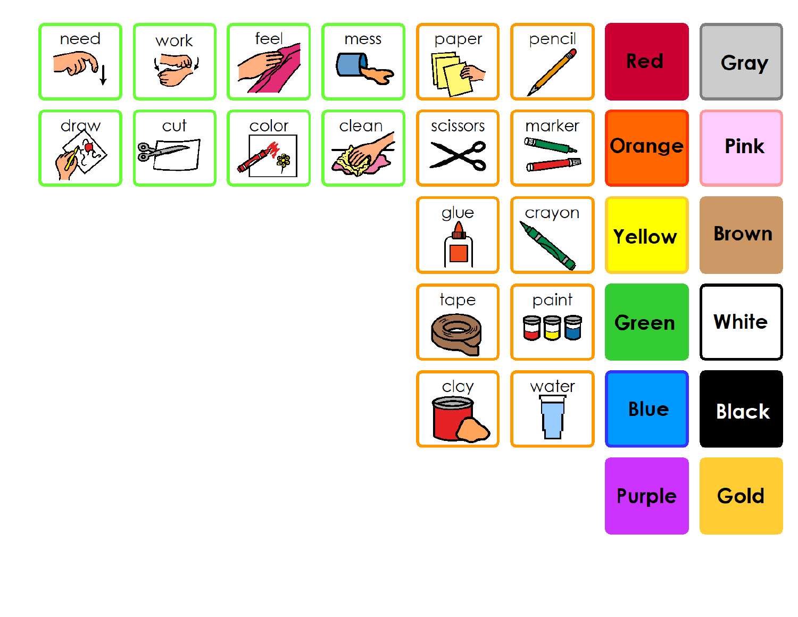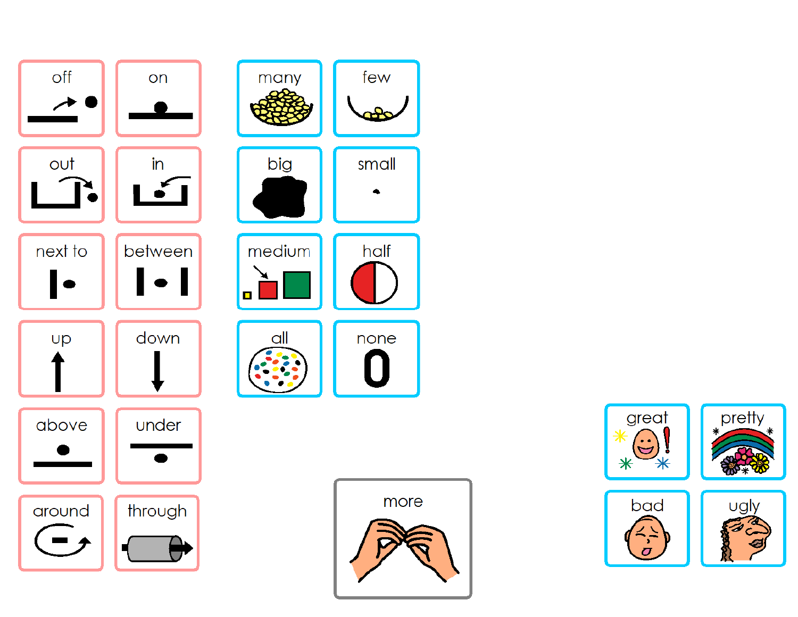